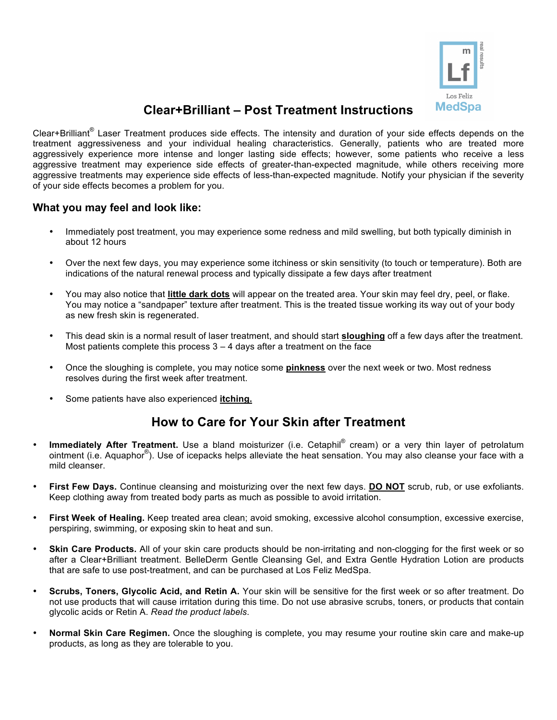

## **Clear+Brilliant – Post Treatment Instructions**

Clear+Brilliant® Laser Treatment produces side effects. The intensity and duration of your side effects depends on the treatment aggressiveness and your individual healing characteristics. Generally, patients who are treated more aggressively experience more intense and longer lasting side effects; however, some patients who receive a less aggressive treatment may experience side effects of greater-than-expected magnitude, while others receiving more aggressive treatments may experience side effects of less-than-expected magnitude. Notify your physician if the severity of your side effects becomes a problem for you.

## **What you may feel and look like:**

- Immediately post treatment, you may experience some redness and mild swelling, but both typically diminish in about 12 hours
- Over the next few days, you may experience some itchiness or skin sensitivity (to touch or temperature). Both are indications of the natural renewal process and typically dissipate a few days after treatment
- You may also notice that **little dark dots** will appear on the treated area. Your skin may feel dry, peel, or flake. You may notice a "sandpaper" texture after treatment. This is the treated tissue working its way out of your body as new fresh skin is regenerated.
- This dead skin is a normal result of laser treatment, and should start **sloughing** off a few days after the treatment. Most patients complete this process  $3 - 4$  days after a treatment on the face
- Once the sloughing is complete, you may notice some **pinkness** over the next week or two. Most redness resolves during the first week after treatment.
- Some patients have also experienced **itching.**

## **How to Care for Your Skin after Treatment**

- Immediately After Treatment. Use a bland moisturizer (i.e. Cetaphil® cream) or a very thin layer of petrolatum ointment (i.e. Aquaphor®). Use of icepacks helps alleviate the heat sensation. You may also cleanse your face with a mild cleanser.
- **First Few Days.** Continue cleansing and moisturizing over the next few days. **DO NOT** scrub, rub, or use exfoliants. Keep clothing away from treated body parts as much as possible to avoid irritation.
- **First Week of Healing.** Keep treated area clean; avoid smoking, excessive alcohol consumption, excessive exercise, perspiring, swimming, or exposing skin to heat and sun.
- **Skin Care Products.** All of your skin care products should be non-irritating and non-clogging for the first week or so after a Clear+Brilliant treatment. BelleDerm Gentle Cleansing Gel, and Extra Gentle Hydration Lotion are products that are safe to use post-treatment, and can be purchased at Los Feliz MedSpa.
- **Scrubs, Toners, Glycolic Acid, and Retin A.** Your skin will be sensitive for the first week or so after treatment. Do not use products that will cause irritation during this time. Do not use abrasive scrubs, toners, or products that contain glycolic acids or Retin A. *Read the product labels*.
- **Normal Skin Care Regimen.** Once the sloughing is complete, you may resume your routine skin care and make-up products, as long as they are tolerable to you.